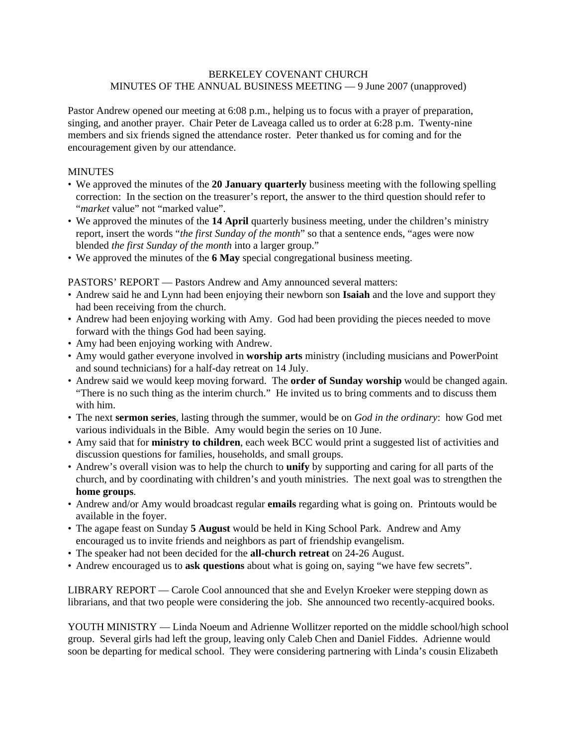## BERKELEY COVENANT CHURCH MINUTES OF THE ANNUAL BUSINESS MEETING — 9 June 2007 (unapproved)

Pastor Andrew opened our meeting at 6:08 p.m., helping us to focus with a prayer of preparation, singing, and another prayer. Chair Peter de Laveaga called us to order at 6:28 p.m. Twenty-nine members and six friends signed the attendance roster. Peter thanked us for coming and for the encouragement given by our attendance.

## MINUTES

- We approved the minutes of the **20 January quarterly** business meeting with the following spelling correction: In the section on the treasurer's report, the answer to the third question should refer to "*market* value" not "marked value".
- We approved the minutes of the **14 April** quarterly business meeting, under the children's ministry report, insert the words "*the first Sunday of the month*" so that a sentence ends, "ages were now blended *the first Sunday of the month* into a larger group."
- We approved the minutes of the **6 May** special congregational business meeting.

PASTORS' REPORT — Pastors Andrew and Amy announced several matters:

- Andrew said he and Lynn had been enjoying their newborn son **Isaiah** and the love and support they had been receiving from the church.
- Andrew had been enjoying working with Amy. God had been providing the pieces needed to move forward with the things God had been saying.
- Amy had been enjoying working with Andrew.
- Amy would gather everyone involved in **worship arts** ministry (including musicians and PowerPoint and sound technicians) for a half-day retreat on 14 July.
- Andrew said we would keep moving forward. The **order of Sunday worship** would be changed again. "There is no such thing as the interim church." He invited us to bring comments and to discuss them with him.
- The next **sermon series**, lasting through the summer, would be on *God in the ordinary*: how God met various individuals in the Bible. Amy would begin the series on 10 June.
- Amy said that for **ministry to children**, each week BCC would print a suggested list of activities and discussion questions for families, households, and small groups.
- Andrew's overall vision was to help the church to **unify** by supporting and caring for all parts of the church, and by coordinating with children's and youth ministries. The next goal was to strengthen the **home groups**.
- Andrew and/or Amy would broadcast regular **emails** regarding what is going on. Printouts would be available in the foyer.
- The agape feast on Sunday **5 August** would be held in King School Park. Andrew and Amy encouraged us to invite friends and neighbors as part of friendship evangelism.
- The speaker had not been decided for the **all-church retreat** on 24-26 August.
- Andrew encouraged us to **ask questions** about what is going on, saying "we have few secrets".

LIBRARY REPORT — Carole Cool announced that she and Evelyn Kroeker were stepping down as librarians, and that two people were considering the job. She announced two recently-acquired books.

YOUTH MINISTRY — Linda Noeum and Adrienne Wollitzer reported on the middle school/high school group. Several girls had left the group, leaving only Caleb Chen and Daniel Fiddes. Adrienne would soon be departing for medical school. They were considering partnering with Linda's cousin Elizabeth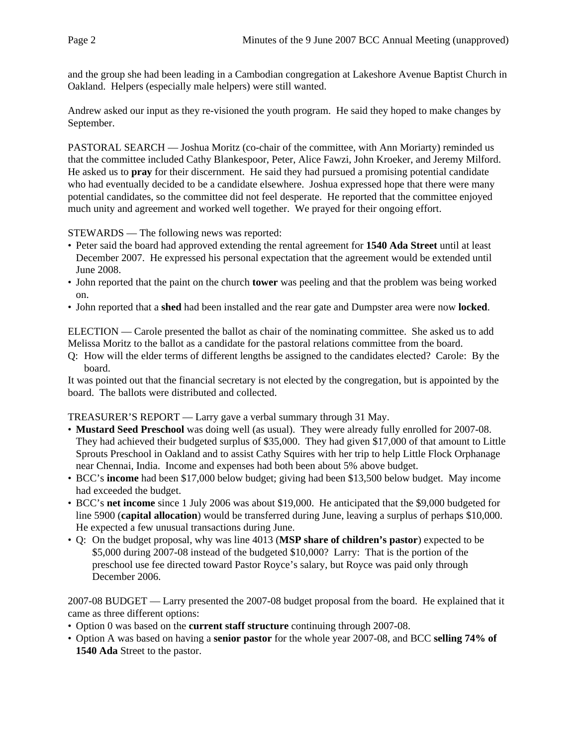and the group she had been leading in a Cambodian congregation at Lakeshore Avenue Baptist Church in Oakland. Helpers (especially male helpers) were still wanted.

Andrew asked our input as they re-visioned the youth program. He said they hoped to make changes by September.

PASTORAL SEARCH — Joshua Moritz (co-chair of the committee, with Ann Moriarty) reminded us that the committee included Cathy Blankespoor, Peter, Alice Fawzi, John Kroeker, and Jeremy Milford. He asked us to **pray** for their discernment. He said they had pursued a promising potential candidate who had eventually decided to be a candidate elsewhere. Joshua expressed hope that there were many potential candidates, so the committee did not feel desperate. He reported that the committee enjoyed much unity and agreement and worked well together. We prayed for their ongoing effort.

STEWARDS — The following news was reported:

- Peter said the board had approved extending the rental agreement for **1540 Ada Street** until at least December 2007. He expressed his personal expectation that the agreement would be extended until June 2008.
- John reported that the paint on the church **tower** was peeling and that the problem was being worked on.
- John reported that a **shed** had been installed and the rear gate and Dumpster area were now **locked**.

ELECTION — Carole presented the ballot as chair of the nominating committee. She asked us to add Melissa Moritz to the ballot as a candidate for the pastoral relations committee from the board.

Q: How will the elder terms of different lengths be assigned to the candidates elected? Carole: By the board.

It was pointed out that the financial secretary is not elected by the congregation, but is appointed by the board. The ballots were distributed and collected.

TREASURER'S REPORT — Larry gave a verbal summary through 31 May.

- **Mustard Seed Preschool** was doing well (as usual). They were already fully enrolled for 2007-08. They had achieved their budgeted surplus of \$35,000. They had given \$17,000 of that amount to Little Sprouts Preschool in Oakland and to assist Cathy Squires with her trip to help Little Flock Orphanage near Chennai, India. Income and expenses had both been about 5% above budget.
- BCC's **income** had been \$17,000 below budget; giving had been \$13,500 below budget. May income had exceeded the budget.
- BCC's **net income** since 1 July 2006 was about \$19,000. He anticipated that the \$9,000 budgeted for line 5900 (**capital allocation**) would be transferred during June, leaving a surplus of perhaps \$10,000. He expected a few unusual transactions during June.
- Q: On the budget proposal, why was line 4013 (**MSP share of children's pastor**) expected to be \$5,000 during 2007-08 instead of the budgeted \$10,000? Larry: That is the portion of the preschool use fee directed toward Pastor Royce's salary, but Royce was paid only through December 2006.

2007-08 BUDGET — Larry presented the 2007-08 budget proposal from the board. He explained that it came as three different options:

- Option 0 was based on the **current staff structure** continuing through 2007-08.
- Option A was based on having a **senior pastor** for the whole year 2007-08, and BCC **selling 74% of 1540 Ada** Street to the pastor.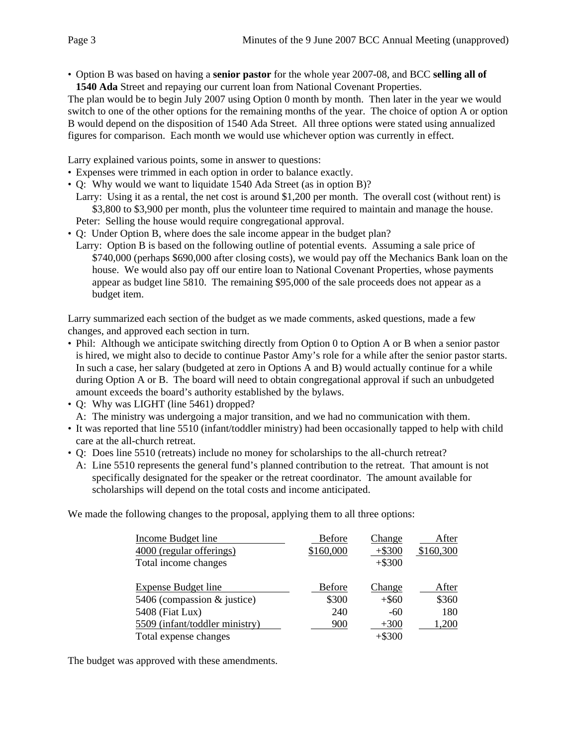• Option B was based on having a **senior pastor** for the whole year 2007-08, and BCC **selling all of 1540 Ada** Street and repaying our current loan from National Covenant Properties.

The plan would be to begin July 2007 using Option 0 month by month. Then later in the year we would switch to one of the other options for the remaining months of the year. The choice of option A or option B would depend on the disposition of 1540 Ada Street. All three options were stated using annualized figures for comparison. Each month we would use whichever option was currently in effect.

Larry explained various points, some in answer to questions:

- Expenses were trimmed in each option in order to balance exactly.
- Q: Why would we want to liquidate 1540 Ada Street (as in option B)?
- Larry: Using it as a rental, the net cost is around \$1,200 per month. The overall cost (without rent) is \$3,800 to \$3,900 per month, plus the volunteer time required to maintain and manage the house. Peter: Selling the house would require congregational approval.
- Q: Under Option B, where does the sale income appear in the budget plan?
- Larry: Option B is based on the following outline of potential events. Assuming a sale price of \$740,000 (perhaps \$690,000 after closing costs), we would pay off the Mechanics Bank loan on the house. We would also pay off our entire loan to National Covenant Properties, whose payments appear as budget line 5810. The remaining \$95,000 of the sale proceeds does not appear as a budget item.

Larry summarized each section of the budget as we made comments, asked questions, made a few changes, and approved each section in turn.

- Phil: Although we anticipate switching directly from Option 0 to Option A or B when a senior pastor is hired, we might also to decide to continue Pastor Amy's role for a while after the senior pastor starts. In such a case, her salary (budgeted at zero in Options A and B) would actually continue for a while during Option A or B. The board will need to obtain congregational approval if such an unbudgeted amount exceeds the board's authority established by the bylaws.
- Q: Why was LIGHT (line 5461) dropped? A: The ministry was undergoing a major transition, and we had no communication with them.
- It was reported that line 5510 (infant/toddler ministry) had been occasionally tapped to help with child care at the all-church retreat.
- Q: Does line 5510 (retreats) include no money for scholarships to the all-church retreat?
	- A: Line 5510 represents the general fund's planned contribution to the retreat. That amount is not specifically designated for the speaker or the retreat coordinator. The amount available for scholarships will depend on the total costs and income anticipated.

We made the following changes to the proposal, applying them to all three options:

| <b>Income Budget line</b>      | <b>Before</b> | Change        | After     |
|--------------------------------|---------------|---------------|-----------|
| 4000 (regular offerings)       | \$160,000     | $+$ \$300     | \$160,300 |
| Total income changes           |               | $+ $300$      |           |
| <b>Expense Budget line</b>     | <b>Before</b> | <b>Change</b> | After     |
| 5406 (compassion & justice)    | \$300         | $+ $60$       | \$360     |
| 5408 (Fiat Lux)                | 240           | -60           | 180       |
| 5509 (infant/toddler ministry) | 900           | $+300$        | 1,200     |
| Total expense changes          |               | $+ $300$      |           |

The budget was approved with these amendments.